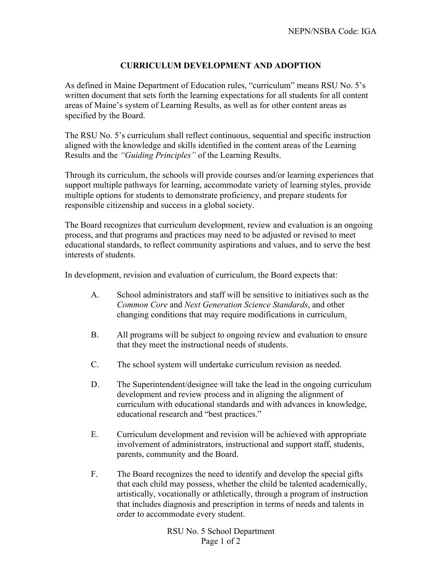## **CURRICULUM DEVELOPMENT AND ADOPTION**

As defined in Maine Department of Education rules, "curriculum" means RSU No. 5's written document that sets forth the learning expectations for all students for all content areas of Maine's system of Learning Results, as well as for other content areas as specified by the Board.

The RSU No. 5's curriculum shall reflect continuous, sequential and specific instruction aligned with the knowledge and skills identified in the content areas of the Learning Results and the *"Guiding Principles"* of the Learning Results.

Through its curriculum, the schools will provide courses and/or learning experiences that support multiple pathways for learning, accommodate variety of learning styles, provide multiple options for students to demonstrate proficiency, and prepare students for responsible citizenship and success in a global society.

The Board recognizes that curriculum development, review and evaluation is an ongoing process, and that programs and practices may need to be adjusted or revised to meet educational standards, to reflect community aspirations and values, and to serve the best interests of students.

In development, revision and evaluation of curriculum, the Board expects that:

- A. School administrators and staff will be sensitive to initiatives such as the *Common Core* and *Next Generation Science Standards*, and other changing conditions that may require modifications in curriculum.
- B. All programs will be subject to ongoing review and evaluation to ensure that they meet the instructional needs of students.
- C. The school system will undertake curriculum revision as needed.
- D. The Superintendent/designee will take the lead in the ongoing curriculum development and review process and in aligning the alignment of curriculum with educational standards and with advances in knowledge, educational research and "best practices."
- E. Curriculum development and revision will be achieved with appropriate involvement of administrators, instructional and support staff, students, parents, community and the Board.
- F. The Board recognizes the need to identify and develop the special gifts that each child may possess, whether the child be talented academically, artistically, vocationally or athletically, through a program of instruction that includes diagnosis and prescription in terms of needs and talents in order to accommodate every student.

RSU No. 5 School Department Page 1 of 2